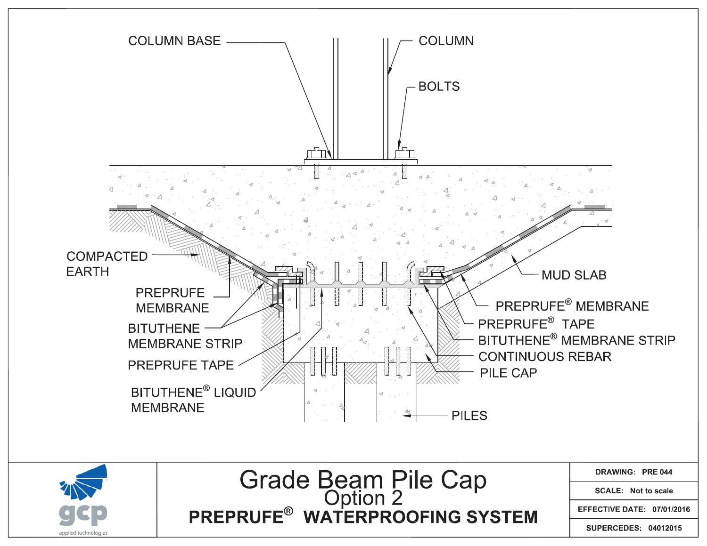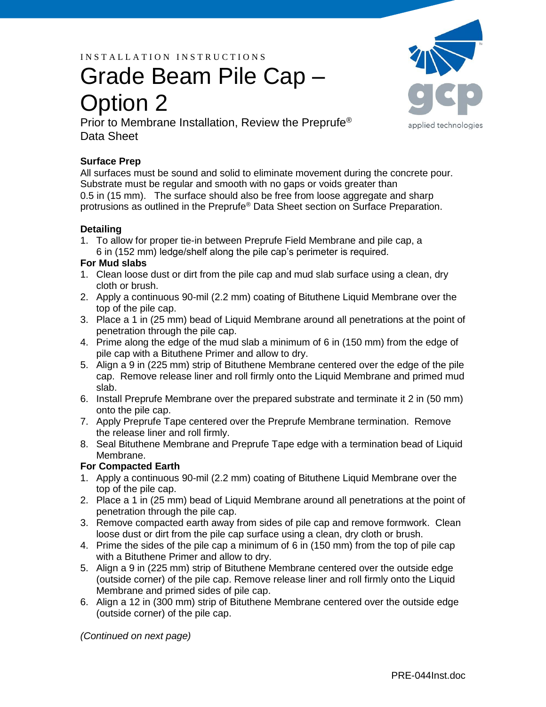I N S T A L L A T I O N I N S T R U C T I O N S

# Grade Beam Pile Cap – Option 2



Prior to Membrane Installation, Review the Preprufe® Data Sheet

## **Surface Prep**

All surfaces must be sound and solid to eliminate movement during the concrete pour. Substrate must be regular and smooth with no gaps or voids greater than 0.5 in (15 mm). The surface should also be free from loose aggregate and sharp protrusions as outlined in the Preprufe® Data Sheet section on Surface Preparation.

## **Detailing**

1. To allow for proper tie-in between Preprufe Field Membrane and pile cap, a 6 in (152 mm) ledge/shelf along the pile cap's perimeter is required.

### **For Mud slabs**

- 1. Clean loose dust or dirt from the pile cap and mud slab surface using a clean, dry cloth or brush.
- 2. Apply a continuous 90-mil (2.2 mm) coating of Bituthene Liquid Membrane over the top of the pile cap.
- 3. Place a 1 in (25 mm) bead of Liquid Membrane around all penetrations at the point of penetration through the pile cap.
- 4. Prime along the edge of the mud slab a minimum of 6 in (150 mm) from the edge of pile cap with a Bituthene Primer and allow to dry.
- 5. Align a 9 in (225 mm) strip of Bituthene Membrane centered over the edge of the pile cap. Remove release liner and roll firmly onto the Liquid Membrane and primed mud slab.
- 6. Install Preprufe Membrane over the prepared substrate and terminate it 2 in (50 mm) onto the pile cap.
- 7. Apply Preprufe Tape centered over the Preprufe Membrane termination. Remove the release liner and roll firmly.
- 8. Seal Bituthene Membrane and Preprufe Tape edge with a termination bead of Liquid Membrane.

## **For Compacted Earth**

- 1. Apply a continuous 90-mil (2.2 mm) coating of Bituthene Liquid Membrane over the top of the pile cap.
- 2. Place a 1 in (25 mm) bead of Liquid Membrane around all penetrations at the point of penetration through the pile cap.
- 3. Remove compacted earth away from sides of pile cap and remove formwork. Clean loose dust or dirt from the pile cap surface using a clean, dry cloth or brush.
- 4. Prime the sides of the pile cap a minimum of 6 in (150 mm) from the top of pile cap with a Bituthene Primer and allow to dry.
- 5. Align a 9 in (225 mm) strip of Bituthene Membrane centered over the outside edge (outside corner) of the pile cap. Remove release liner and roll firmly onto the Liquid Membrane and primed sides of pile cap.
- 6. Align a 12 in (300 mm) strip of Bituthene Membrane centered over the outside edge (outside corner) of the pile cap.

*(Continued on next page)*